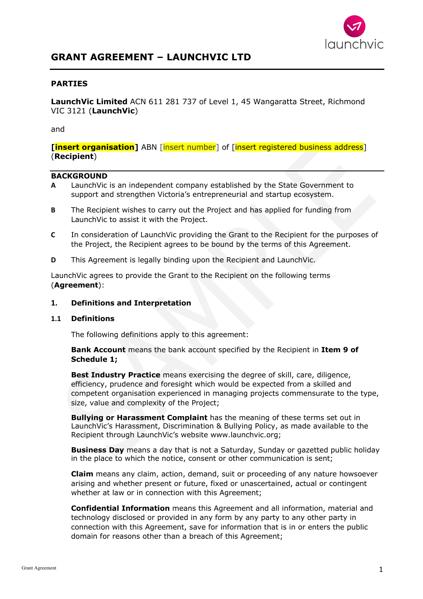

# **GRANT AGREEMENT – LAUNCHVIC LTD**

## **PARTIES**

**LaunchVic Limited** ACN 611 281 737 of Level 1, 45 Wangaratta Street, Richmond VIC 3121 (**LaunchVic**)

#### and

**[insert organisation]** ABN [insert number] of [insert registered business address] (**Recipient**)

#### **BACKGROUND**

- **A** LaunchVic is an independent company established by the State Government to support and strengthen Victoria's entrepreneurial and startup ecosystem.
- **B** The Recipient wishes to carry out the Project and has applied for funding from LaunchVic to assist it with the Project.
- **C** In consideration of LaunchVic providing the Grant to the Recipient for the purposes of the Project, the Recipient agrees to be bound by the terms of this Agreement.
- **D** This Agreement is legally binding upon the Recipient and LaunchVic.

LaunchVic agrees to provide the Grant to the Recipient on the following terms (**Agreement**):

#### **1. Definitions and Interpretation**

#### **1.1 Definitions**

The following definitions apply to this agreement:

**Bank Account** means the bank account specified by the Recipient in **Item 9 of Schedule 1;**

**Best Industry Practice** means exercising the degree of skill, care, diligence, efficiency, prudence and foresight which would be expected from a skilled and competent organisation experienced in managing projects commensurate to the type, size, value and complexity of the Project;

**Bullying or Harassment Complaint** has the meaning of these terms set out in LaunchVic's Harassment, Discrimination & Bullying Policy, as made available to the Recipient through LaunchVic's website www.launchvic.org;

**Business Day** means a day that is not a Saturday, Sunday or gazetted public holiday in the place to which the notice, consent or other communication is sent;

**Claim** means any claim, action, demand, suit or proceeding of any nature howsoever arising and whether present or future, fixed or unascertained, actual or contingent whether at law or in connection with this Agreement;

**Confidential Information** means this Agreement and all information, material and technology disclosed or provided in any form by any party to any other party in connection with this Agreement, save for information that is in or enters the public domain for reasons other than a breach of this Agreement;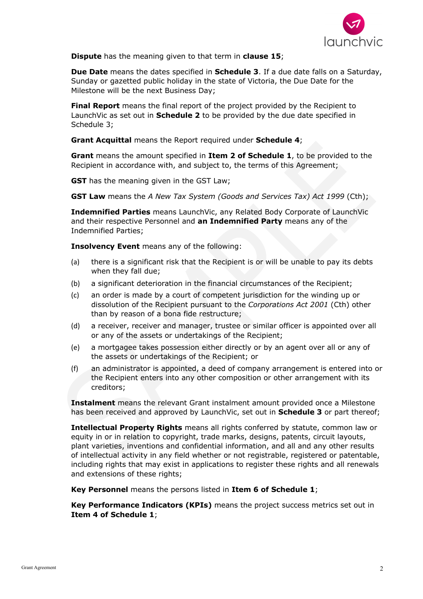

**Dispute** has the meaning given to that term in **clause 15**;

**Due Date** means the dates specified in **Schedule 3**. If a due date falls on a Saturday, Sunday or gazetted public holiday in the state of Victoria, the Due Date for the Milestone will be the next Business Day;

**Final Report** means the final report of the project provided by the Recipient to LaunchVic as set out in **Schedule 2** to be provided by the due date specified in Schedule 3;

**Grant Acquittal** means the Report required under **Schedule 4**;

**Grant** means the amount specified in **Item 2 of Schedule 1**, to be provided to the Recipient in accordance with, and subject to, the terms of this Agreement;

**GST** has the meaning given in the GST Law;

**GST Law** means the *A New Tax System (Goods and Services Tax) Act 1999* (Cth);

**Indemnified Parties** means LaunchVic, any Related Body Corporate of LaunchVic and their respective Personnel and **an Indemnified Party** means any of the Indemnified Parties;

**Insolvency Event** means any of the following:

- (a) there is a significant risk that the Recipient is or will be unable to pay its debts when they fall due;
- (b) a significant deterioration in the financial circumstances of the Recipient;
- (c) an order is made by a court of competent jurisdiction for the winding up or dissolution of the Recipient pursuant to the *Corporations Act 2001* (Cth) other than by reason of a bona fide restructure;
- (d) a receiver, receiver and manager, trustee or similar officer is appointed over all or any of the assets or undertakings of the Recipient;
- (e) a mortgagee takes possession either directly or by an agent over all or any of the assets or undertakings of the Recipient; or
- (f) an administrator is appointed, a deed of company arrangement is entered into or the Recipient enters into any other composition or other arrangement with its creditors;

**Instalment** means the relevant Grant instalment amount provided once a Milestone has been received and approved by LaunchVic, set out in **Schedule 3** or part thereof;

**Intellectual Property Rights** means all rights conferred by statute, common law or equity in or in relation to copyright, trade marks, designs, patents, circuit layouts, plant varieties, inventions and confidential information, and all and any other results of intellectual activity in any field whether or not registrable, registered or patentable, including rights that may exist in applications to register these rights and all renewals and extensions of these rights;

**Key Personnel** means the persons listed in **Item 6 of Schedule 1**;

**Key Performance Indicators (KPIs)** means the project success metrics set out in **Item 4 of Schedule 1**;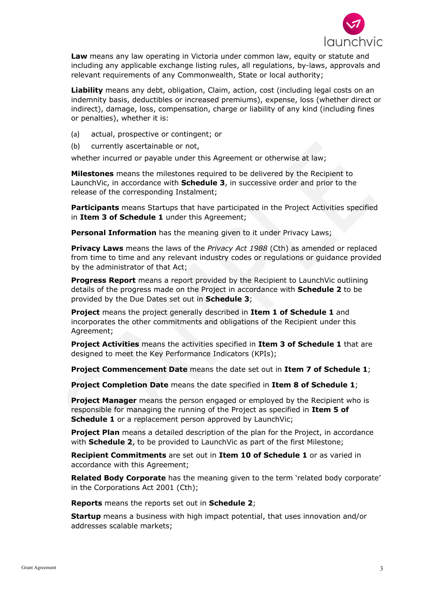

**Law** means any law operating in Victoria under common law, equity or statute and including any applicable exchange listing rules, all regulations, by-laws, approvals and relevant requirements of any Commonwealth, State or local authority;

**Liability** means any debt, obligation, Claim, action, cost (including legal costs on an indemnity basis, deductibles or increased premiums), expense, loss (whether direct or indirect), damage, loss, compensation, charge or liability of any kind (including fines or penalties), whether it is:

- (a) actual, prospective or contingent; or
- (b) currently ascertainable or not,

whether incurred or payable under this Agreement or otherwise at law;

**Milestones** means the milestones required to be delivered by the Recipient to LaunchVic, in accordance with **Schedule 3**, in successive order and prior to the release of the corresponding Instalment;

**Participants** means Startups that have participated in the Project Activities specified in **Item 3 of Schedule 1** under this Agreement;

**Personal Information** has the meaning given to it under Privacy Laws;

**Privacy Laws** means the laws of the *Privacy Act 1988* (Cth) as amended or replaced from time to time and any relevant industry codes or regulations or guidance provided by the administrator of that Act;

**Progress Report** means a report provided by the Recipient to LaunchVic outlining details of the progress made on the Project in accordance with **Schedule 2** to be provided by the Due Dates set out in **Schedule 3**;

**Project** means the project generally described in **Item 1 of Schedule 1** and incorporates the other commitments and obligations of the Recipient under this Agreement;

**Project Activities** means the activities specified in **Item 3 of Schedule 1** that are designed to meet the Key Performance Indicators (KPIs);

**Project Commencement Date** means the date set out in **Item 7 of Schedule 1**;

**Project Completion Date** means the date specified in **Item 8 of Schedule 1**;

**Project Manager** means the person engaged or employed by the Recipient who is responsible for managing the running of the Project as specified in **Item 5 of Schedule 1** or a replacement person approved by LaunchVic;

**Project Plan** means a detailed description of the plan for the Project, in accordance with **Schedule 2**, to be provided to LaunchVic as part of the first Milestone;

**Recipient Commitments** are set out in **Item 10 of Schedule 1** or as varied in accordance with this Agreement;

**Related Body Corporate** has the meaning given to the term 'related body corporate' in the Corporations Act 2001 (Cth);

**Reports** means the reports set out in **Schedule 2**;

**Startup** means a business with high impact potential, that uses innovation and/or addresses scalable markets;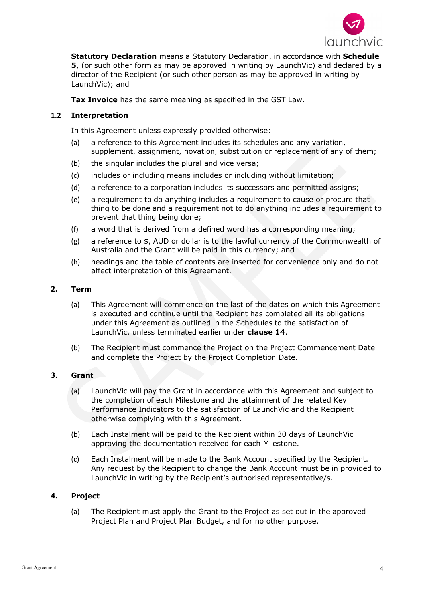

**Statutory Declaration** means a Statutory Declaration, in accordance with **Schedule 5**, (or such other form as may be approved in writing by LaunchVic) and declared by a director of the Recipient (or such other person as may be approved in writing by LaunchVic); and

**Tax Invoice** has the same meaning as specified in the GST Law.

# **1.2 Interpretation**

In this Agreement unless expressly provided otherwise:

- (a) a reference to this Agreement includes its schedules and any variation, supplement, assignment, novation, substitution or replacement of any of them;
- (b) the singular includes the plural and vice versa;
- (c) includes or including means includes or including without limitation;
- (d) a reference to a corporation includes its successors and permitted assigns;
- (e) a requirement to do anything includes a requirement to cause or procure that thing to be done and a requirement not to do anything includes a requirement to prevent that thing being done;
- (f) a word that is derived from a defined word has a corresponding meaning;
- (g) a reference to \$, AUD or dollar is to the lawful currency of the Commonwealth of Australia and the Grant will be paid in this currency; and
- (h) headings and the table of contents are inserted for convenience only and do not affect interpretation of this Agreement.

#### **2. Term**

- (a) This Agreement will commence on the last of the dates on which this Agreement is executed and continue until the Recipient has completed all its obligations under this Agreement as outlined in the Schedules to the satisfaction of LaunchVic, unless terminated earlier under **clause 14**.
- (b) The Recipient must commence the Project on the Project Commencement Date and complete the Project by the Project Completion Date.

#### **3. Grant**

- (a) LaunchVic will pay the Grant in accordance with this Agreement and subject to the completion of each Milestone and the attainment of the related Key Performance Indicators to the satisfaction of LaunchVic and the Recipient otherwise complying with this Agreement.
- (b) Each Instalment will be paid to the Recipient within 30 days of LaunchVic approving the documentation received for each Milestone.
- (c) Each Instalment will be made to the Bank Account specified by the Recipient. Any request by the Recipient to change the Bank Account must be in provided to LaunchVic in writing by the Recipient's authorised representative/s.

#### **4. Project**

(a) The Recipient must apply the Grant to the Project as set out in the approved Project Plan and Project Plan Budget, and for no other purpose.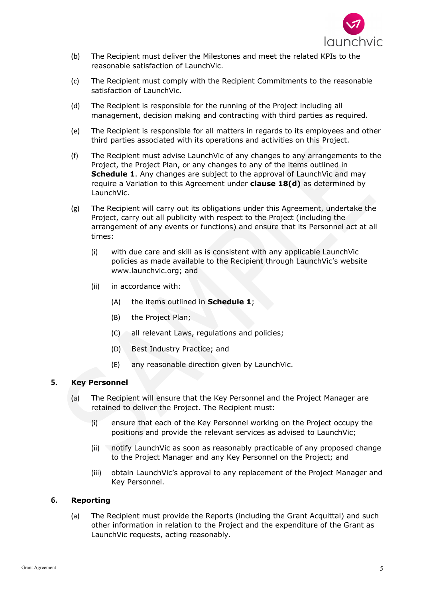

- (b) The Recipient must deliver the Milestones and meet the related KPIs to the reasonable satisfaction of LaunchVic.
- (c) The Recipient must comply with the Recipient Commitments to the reasonable satisfaction of LaunchVic.
- (d) The Recipient is responsible for the running of the Project including all management, decision making and contracting with third parties as required.
- (e) The Recipient is responsible for all matters in regards to its employees and other third parties associated with its operations and activities on this Project.
- (f) The Recipient must advise LaunchVic of any changes to any arrangements to the Project, the Project Plan, or any changes to any of the items outlined in **Schedule 1**. Any changes are subject to the approval of LaunchVic and may require a Variation to this Agreement under **clause 18(d)** as determined by LaunchVic.
- (g) The Recipient will carry out its obligations under this Agreement, undertake the Project, carry out all publicity with respect to the Project (including the arrangement of any events or functions) and ensure that its Personnel act at all times:
	- (i) with due care and skill as is consistent with any applicable LaunchVic policies as made available to the Recipient through LaunchVic's website www.launchvic.org; and
	- (ii) in accordance with:
		- (A) the items outlined in **Schedule 1**;
		- (B) the Project Plan;
		- (C) all relevant Laws, regulations and policies;
		- (D) Best Industry Practice; and
		- (E) any reasonable direction given by LaunchVic.

#### **5. Key Personnel**

- (a) The Recipient will ensure that the Key Personnel and the Project Manager are retained to deliver the Project. The Recipient must:
	- (i) ensure that each of the Key Personnel working on the Project occupy the positions and provide the relevant services as advised to LaunchVic;
	- (ii) notify LaunchVic as soon as reasonably practicable of any proposed change to the Project Manager and any Key Personnel on the Project; and
	- (iii) obtain LaunchVic's approval to any replacement of the Project Manager and Key Personnel.

# **6. Reporting**

(a) The Recipient must provide the Reports (including the Grant Acquittal) and such other information in relation to the Project and the expenditure of the Grant as LaunchVic requests, acting reasonably.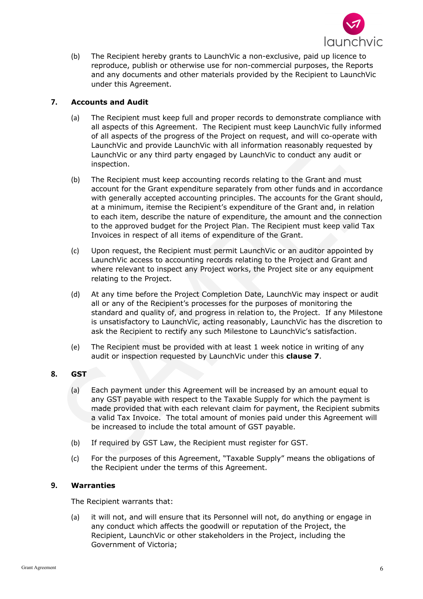

(b) The Recipient hereby grants to LaunchVic a non-exclusive, paid up licence to reproduce, publish or otherwise use for non-commercial purposes, the Reports and any documents and other materials provided by the Recipient to LaunchVic under this Agreement.

# **7. Accounts and Audit**

- (a) The Recipient must keep full and proper records to demonstrate compliance with all aspects of this Agreement. The Recipient must keep LaunchVic fully informed of all aspects of the progress of the Project on request, and will co-operate with LaunchVic and provide LaunchVic with all information reasonably requested by LaunchVic or any third party engaged by LaunchVic to conduct any audit or inspection.
- (b) The Recipient must keep accounting records relating to the Grant and must account for the Grant expenditure separately from other funds and in accordance with generally accepted accounting principles. The accounts for the Grant should, at a minimum, itemise the Recipient's expenditure of the Grant and, in relation to each item, describe the nature of expenditure, the amount and the connection to the approved budget for the Project Plan. The Recipient must keep valid Tax Invoices in respect of all items of expenditure of the Grant.
- (c) Upon request, the Recipient must permit LaunchVic or an auditor appointed by LaunchVic access to accounting records relating to the Project and Grant and where relevant to inspect any Project works, the Project site or any equipment relating to the Project.
- (d) At any time before the Project Completion Date, LaunchVic may inspect or audit all or any of the Recipient's processes for the purposes of monitoring the standard and quality of, and progress in relation to, the Project. If any Milestone is unsatisfactory to LaunchVic, acting reasonably, LaunchVic has the discretion to ask the Recipient to rectify any such Milestone to LaunchVic's satisfaction.
- (e) The Recipient must be provided with at least 1 week notice in writing of any audit or inspection requested by LaunchVic under this **clause 7**.

# **8. GST**

- (a) Each payment under this Agreement will be increased by an amount equal to any GST payable with respect to the Taxable Supply for which the payment is made provided that with each relevant claim for payment, the Recipient submits a valid Tax Invoice. The total amount of monies paid under this Agreement will be increased to include the total amount of GST payable.
- (b) If required by GST Law, the Recipient must register for GST.
- (c) For the purposes of this Agreement, "Taxable Supply" means the obligations of the Recipient under the terms of this Agreement.

# **9. Warranties**

The Recipient warrants that:

(a) it will not, and will ensure that its Personnel will not, do anything or engage in any conduct which affects the goodwill or reputation of the Project, the Recipient, LaunchVic or other stakeholders in the Project, including the Government of Victoria;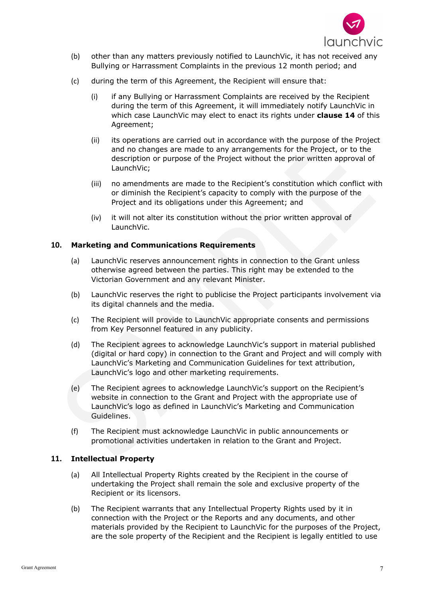

- (b) other than any matters previously notified to LaunchVic, it has not received any Bullying or Harrassment Complaints in the previous 12 month period; and
- (c) during the term of this Agreement, the Recipient will ensure that:
	- (i) if any Bullying or Harrassment Complaints are received by the Recipient during the term of this Agreement, it will immediately notify LaunchVic in which case LaunchVic may elect to enact its rights under **clause 14** of this Agreement;
	- (ii) its operations are carried out in accordance with the purpose of the Project and no changes are made to any arrangements for the Project, or to the description or purpose of the Project without the prior written approval of LaunchVic;
	- (iii) no amendments are made to the Recipient's constitution which conflict with or diminish the Recipient's capacity to comply with the purpose of the Project and its obligations under this Agreement; and
	- (iv) it will not alter its constitution without the prior written approval of LaunchVic.

## **10. Marketing and Communications Requirements**

- (a) LaunchVic reserves announcement rights in connection to the Grant unless otherwise agreed between the parties. This right may be extended to the Victorian Government and any relevant Minister.
- (b) LaunchVic reserves the right to publicise the Project participants involvement via its digital channels and the media.
- (c) The Recipient will provide to LaunchVic appropriate consents and permissions from Key Personnel featured in any publicity.
- (d) The Recipient agrees to acknowledge LaunchVic's support in material published (digital or hard copy) in connection to the Grant and Project and will comply with LaunchVic's Marketing and Communication Guidelines for text attribution, LaunchVic's logo and other marketing requirements.
- (e) The Recipient agrees to acknowledge LaunchVic's support on the Recipient's website in connection to the Grant and Project with the appropriate use of LaunchVic's logo as defined in LaunchVic's Marketing and Communication Guidelines.
- (f) The Recipient must acknowledge LaunchVic in public announcements or promotional activities undertaken in relation to the Grant and Project.

#### **11. Intellectual Property**

- (a) All Intellectual Property Rights created by the Recipient in the course of undertaking the Project shall remain the sole and exclusive property of the Recipient or its licensors.
- (b) The Recipient warrants that any Intellectual Property Rights used by it in connection with the Project or the Reports and any documents, and other materials provided by the Recipient to LaunchVic for the purposes of the Project, are the sole property of the Recipient and the Recipient is legally entitled to use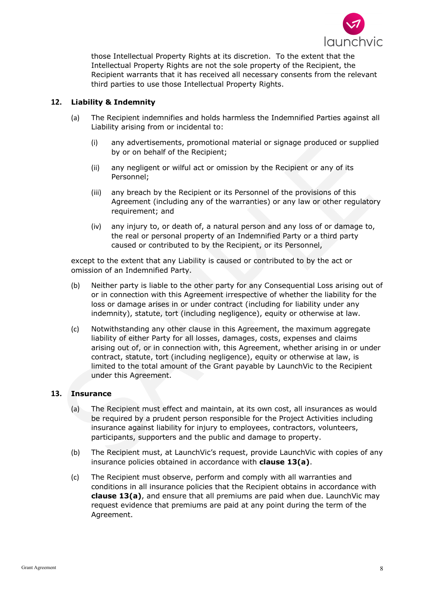

those Intellectual Property Rights at its discretion. To the extent that the Intellectual Property Rights are not the sole property of the Recipient, the Recipient warrants that it has received all necessary consents from the relevant third parties to use those Intellectual Property Rights.

# **12. Liability & Indemnity**

- (a) The Recipient indemnifies and holds harmless the Indemnified Parties against all Liability arising from or incidental to:
	- (i) any advertisements, promotional material or signage produced or supplied by or on behalf of the Recipient;
	- (ii) any negligent or wilful act or omission by the Recipient or any of its Personnel;
	- (iii) any breach by the Recipient or its Personnel of the provisions of this Agreement (including any of the warranties) or any law or other regulatory requirement; and
	- (iv) any injury to, or death of, a natural person and any loss of or damage to, the real or personal property of an Indemnified Party or a third party caused or contributed to by the Recipient, or its Personnel,

except to the extent that any Liability is caused or contributed to by the act or omission of an Indemnified Party.

- (b) Neither party is liable to the other party for any Consequential Loss arising out of or in connection with this Agreement irrespective of whether the liability for the loss or damage arises in or under contract (including for liability under any indemnity), statute, tort (including negligence), equity or otherwise at law.
- (c) Notwithstanding any other clause in this Agreement, the maximum aggregate liability of either Party for all losses, damages, costs, expenses and claims arising out of, or in connection with, this Agreement, whether arising in or under contract, statute, tort (including negligence), equity or otherwise at law, is limited to the total amount of the Grant payable by LaunchVic to the Recipient under this Agreement.

# **13. Insurance**

- (a) The Recipient must effect and maintain, at its own cost, all insurances as would be required by a prudent person responsible for the Project Activities including insurance against liability for injury to employees, contractors, volunteers, participants, supporters and the public and damage to property.
- (b) The Recipient must, at LaunchVic's request, provide LaunchVic with copies of any insurance policies obtained in accordance with **clause 13(a)**.
- (c) The Recipient must observe, perform and comply with all warranties and conditions in all insurance policies that the Recipient obtains in accordance with **clause 13(a)**, and ensure that all premiums are paid when due. LaunchVic may request evidence that premiums are paid at any point during the term of the Agreement.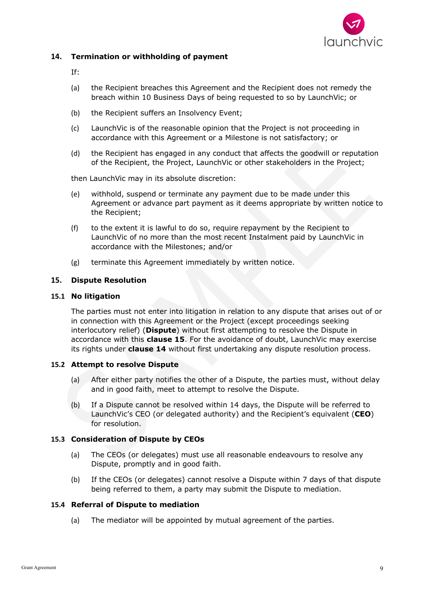

# **14. Termination or withholding of payment**

- If:
- (a) the Recipient breaches this Agreement and the Recipient does not remedy the breach within 10 Business Days of being requested to so by LaunchVic; or
- (b) the Recipient suffers an Insolvency Event;
- (c) LaunchVic is of the reasonable opinion that the Project is not proceeding in accordance with this Agreement or a Milestone is not satisfactory; or
- (d) the Recipient has engaged in any conduct that affects the goodwill or reputation of the Recipient, the Project, LaunchVic or other stakeholders in the Project;

then LaunchVic may in its absolute discretion:

- (e) withhold, suspend or terminate any payment due to be made under this Agreement or advance part payment as it deems appropriate by written notice to the Recipient;
- (f) to the extent it is lawful to do so, require repayment by the Recipient to LaunchVic of no more than the most recent Instalment paid by LaunchVic in accordance with the Milestones; and/or
- (g) terminate this Agreement immediately by written notice.

## **15. Dispute Resolution**

#### **15.1 No litigation**

The parties must not enter into litigation in relation to any dispute that arises out of or in connection with this Agreement or the Project (except proceedings seeking interlocutory relief) (**Dispute**) without first attempting to resolve the Dispute in accordance with this **clause 15**. For the avoidance of doubt, LaunchVic may exercise its rights under **clause 14** without first undertaking any dispute resolution process.

# **15.2 Attempt to resolve Dispute**

- (a) After either party notifies the other of a Dispute, the parties must, without delay and in good faith, meet to attempt to resolve the Dispute.
- (b) If a Dispute cannot be resolved within 14 days, the Dispute will be referred to LaunchVic's CEO (or delegated authority) and the Recipient's equivalent (**CEO**) for resolution.

#### **15.3 Consideration of Dispute by CEOs**

- (a) The CEOs (or delegates) must use all reasonable endeavours to resolve any Dispute, promptly and in good faith.
- (b) If the CEOs (or delegates) cannot resolve a Dispute within 7 days of that dispute being referred to them, a party may submit the Dispute to mediation.

#### **15.4 Referral of Dispute to mediation**

(a) The mediator will be appointed by mutual agreement of the parties.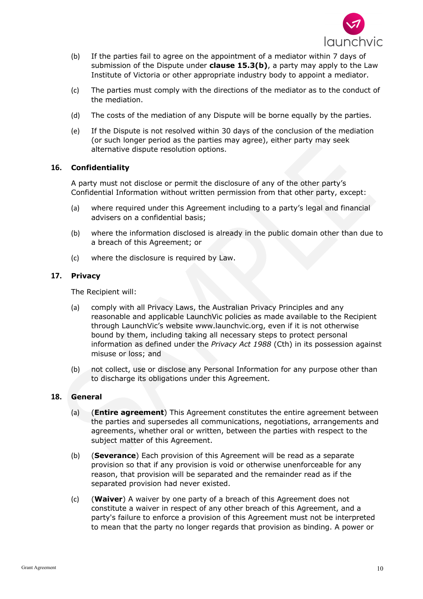

- (b) If the parties fail to agree on the appointment of a mediator within 7 days of submission of the Dispute under **clause 15.3(b)**, a party may apply to the Law Institute of Victoria or other appropriate industry body to appoint a mediator.
- (c) The parties must comply with the directions of the mediator as to the conduct of the mediation.
- (d) The costs of the mediation of any Dispute will be borne equally by the parties.
- (e) If the Dispute is not resolved within 30 days of the conclusion of the mediation (or such longer period as the parties may agree), either party may seek alternative dispute resolution options.

## **16. Confidentiality**

A party must not disclose or permit the disclosure of any of the other party's Confidential Information without written permission from that other party, except:

- (a) where required under this Agreement including to a party's legal and financial advisers on a confidential basis;
- (b) where the information disclosed is already in the public domain other than due to a breach of this Agreement; or
- (c) where the disclosure is required by Law.

## **17. Privacy**

The Recipient will:

- (a) comply with all Privacy Laws, the Australian Privacy Principles and any reasonable and applicable LaunchVic policies as made available to the Recipient through LaunchVic's website www.launchvic.org, even if it is not otherwise bound by them, including taking all necessary steps to protect personal information as defined under the *Privacy Act 1988* (Cth) in its possession against misuse or loss; and
- (b) not collect, use or disclose any Personal Information for any purpose other than to discharge its obligations under this Agreement.

# **18. General**

- (a) (**Entire agreement**) This Agreement constitutes the entire agreement between the parties and supersedes all communications, negotiations, arrangements and agreements, whether oral or written, between the parties with respect to the subject matter of this Agreement.
- (b) (**Severance**) Each provision of this Agreement will be read as a separate provision so that if any provision is void or otherwise unenforceable for any reason, that provision will be separated and the remainder read as if the separated provision had never existed.
- (c) (**Waiver**) A waiver by one party of a breach of this Agreement does not constitute a waiver in respect of any other breach of this Agreement, and a party's failure to enforce a provision of this Agreement must not be interpreted to mean that the party no longer regards that provision as binding. A power or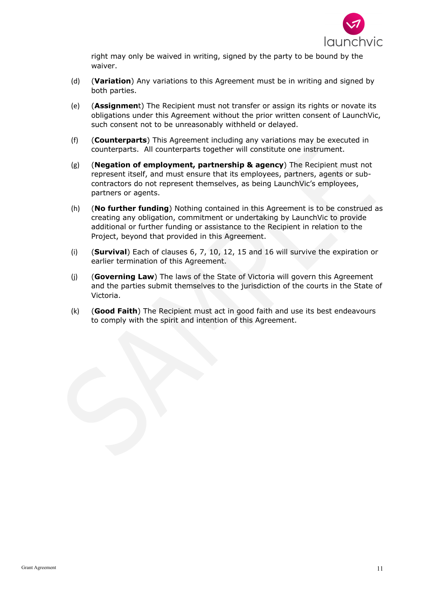

right may only be waived in writing, signed by the party to be bound by the waiver.

- (d) (**Variation**) Any variations to this Agreement must be in writing and signed by both parties.
- (e) (**Assignmen**t) The Recipient must not transfer or assign its rights or novate its obligations under this Agreement without the prior written consent of LaunchVic, such consent not to be unreasonably withheld or delayed.
- (f) (**Counterparts**) This Agreement including any variations may be executed in counterparts. All counterparts together will constitute one instrument.
- (g) (**Negation of employment, partnership & agency**) The Recipient must not represent itself, and must ensure that its employees, partners, agents or subcontractors do not represent themselves, as being LaunchVic's employees, partners or agents.
- (h) (**No further funding**) Nothing contained in this Agreement is to be construed as creating any obligation, commitment or undertaking by LaunchVic to provide additional or further funding or assistance to the Recipient in relation to the Project, beyond that provided in this Agreement.
- (i) (**Survival**) Each of clauses 6, 7, 10, 12, 15 and 16 will survive the expiration or earlier termination of this Agreement.
- (j) (**Governing Law**) The laws of the State of Victoria will govern this Agreement and the parties submit themselves to the jurisdiction of the courts in the State of Victoria.
- (k) (**Good Faith**) The Recipient must act in good faith and use its best endeavours to comply with the spirit and intention of this Agreement.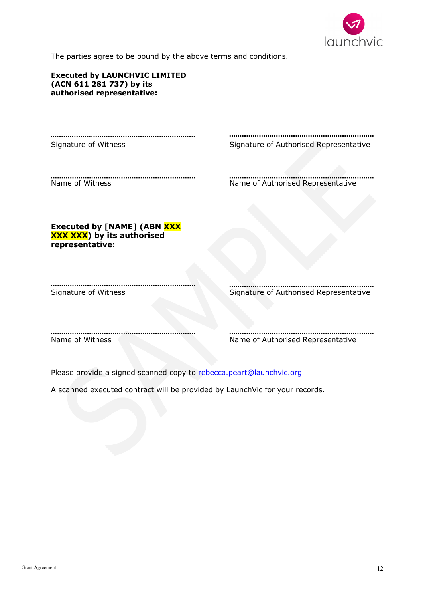

The parties agree to be bound by the above terms and conditions.

| <b>Executed by LAUNCHVIC LIMITED</b><br>(ACN 611 281 737) by its<br>authorised representative: |                                        |
|------------------------------------------------------------------------------------------------|----------------------------------------|
|                                                                                                |                                        |
| Signature of Witness                                                                           | Signature of Authorised Representative |
| Name of Witness                                                                                | Name of Authorised Representative      |
| Executed by [NAME] (ABN XXX<br><b>XXX XXX</b> ) by its authorised<br>representative:           |                                        |
| Signature of Witness                                                                           | Signature of Authorised Representative |
| Name of Witness                                                                                | Name of Authorised Representative      |

Please provide a signed scanned copy to rebecca.peart@launchvic.org

A scanned executed contract will be provided by LaunchVic for your records.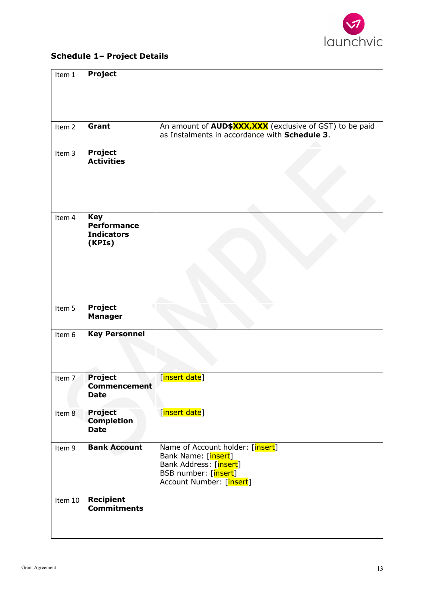

# **Schedule 1– Project Details**

| Item 1            | Project              |                                                                 |
|-------------------|----------------------|-----------------------------------------------------------------|
|                   |                      |                                                                 |
|                   |                      |                                                                 |
|                   |                      |                                                                 |
|                   |                      |                                                                 |
|                   | Grant                | An amount of <b>AUD\$XXX, XXX</b> (exclusive of GST) to be paid |
| Item <sub>2</sub> |                      | as Instalments in accordance with Schedule 3.                   |
|                   |                      |                                                                 |
| Item 3            | Project              |                                                                 |
|                   | <b>Activities</b>    |                                                                 |
|                   |                      |                                                                 |
|                   |                      |                                                                 |
|                   |                      |                                                                 |
|                   |                      |                                                                 |
|                   |                      |                                                                 |
| Item 4            | <b>Key</b>           |                                                                 |
|                   | <b>Performance</b>   |                                                                 |
|                   | <b>Indicators</b>    |                                                                 |
|                   | (KPIs)               |                                                                 |
|                   |                      |                                                                 |
|                   |                      |                                                                 |
|                   |                      |                                                                 |
|                   |                      |                                                                 |
|                   |                      |                                                                 |
| Item 5            | <b>Project</b>       |                                                                 |
|                   | <b>Manager</b>       |                                                                 |
|                   |                      |                                                                 |
| Item 6            | <b>Key Personnel</b> |                                                                 |
|                   |                      |                                                                 |
|                   |                      |                                                                 |
|                   |                      |                                                                 |
|                   | Project              |                                                                 |
| Item 7            | <b>Commencement</b>  | [insert date]                                                   |
|                   | <b>Date</b>          |                                                                 |
|                   |                      |                                                                 |
| Item <sup>8</sup> | <b>Project</b>       | [insert date]                                                   |
|                   | <b>Completion</b>    |                                                                 |
|                   | <b>Date</b>          |                                                                 |
|                   |                      |                                                                 |
| Item 9            | <b>Bank Account</b>  | Name of Account holder: [insert]                                |
|                   |                      | Bank Name: [insert]                                             |
|                   |                      | Bank Address: [insert]<br>BSB number: [insert]                  |
|                   |                      | Account Number: [insert]                                        |
|                   |                      |                                                                 |
| Item 10           | Recipient            |                                                                 |
|                   | <b>Commitments</b>   |                                                                 |
|                   |                      |                                                                 |
|                   |                      |                                                                 |
|                   |                      |                                                                 |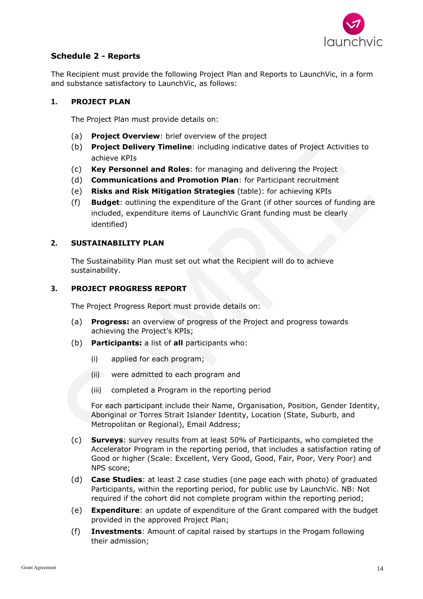

# **Schedule 2 - Reports**

The Recipient must provide the following Project Plan and Reports to LaunchVic, in a form and substance satisfactory to LaunchVic, as follows:

## **1. PROJECT PLAN**

The Project Plan must provide details on:

- (a) **Project Overview**: brief overview of the project
- (b) **Project Delivery Timeline**: including indicative dates of Project Activities to achieve KPIs
- (c) **Key Personnel and Roles**: for managing and delivering the Project
- (d) **Communications and Promotion Plan**: for Participant recruitment
- (e) **Risks and Risk Mitigation Strategies** (table): for achieving KPIs
- (f) **Budget**: outlining the expenditure of the Grant (if other sources of funding are included, expenditure items of LaunchVic Grant funding must be clearly identified)

## **2. SUSTAINABILITY PLAN**

The Sustainability Plan must set out what the Recipient will do to achieve sustainability.

## **3. PROJECT PROGRESS REPORT**

The Project Progress Report must provide details on:

- (a) **Progress:** an overview of progress of the Project and progress towards achieving the Project's KPIs;
- (b) **Participants:** a list of **all** participants who:
	- (i) applied for each program;
	- (ii) were admitted to each program and
	- (iii) completed a Program in the reporting period

For each participant include their Name, Organisation, Position, Gender Identity, Aboriginal or Torres Strait Islander Identity, Location (State, Suburb, and Metropolitan or Regional), Email Address;

- (c) **Surveys**: survey results from at least 50% of Participants, who completed the Accelerator Program in the reporting period, that includes a satisfaction rating of Good or higher (Scale: Excellent, Very Good, Good, Fair, Poor, Very Poor) and NPS score;
- (d) **Case Studies**: at least 2 case studies (one page each with photo) of graduated Participants, within the reporting period, for public use by LaunchVic. NB: Not required if the cohort did not complete program within the reporting period;
- (e) **Expenditure**: an update of expenditure of the Grant compared with the budget provided in the approved Project Plan;
- (f) **Investments**: Amount of capital raised by startups in the Progam following their admission;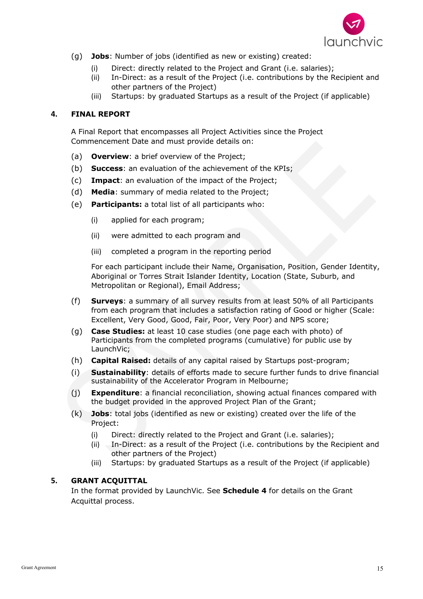

- (g) **Jobs**: Number of jobs (identified as new or existing) created:
	- (i) Direct: directly related to the Project and Grant (i.e. salaries);
	- (ii) In-Direct: as a result of the Project (i.e. contributions by the Recipient and other partners of the Project)
	- (iii) Startups: by graduated Startups as a result of the Project (if applicable)

# **4. FINAL REPORT**

A Final Report that encompasses all Project Activities since the Project Commencement Date and must provide details on:

- (a) **Overview**: a brief overview of the Project;
- (b) **Success**: an evaluation of the achievement of the KPIs;
- (c) **Impact**: an evaluation of the impact of the Project;
- (d) **Media**: summary of media related to the Project;
- (e) **Participants:** a total list of all participants who:
	- (i) applied for each program;
	- (ii) were admitted to each program and
	- (iii) completed a program in the reporting period

For each participant include their Name, Organisation, Position, Gender Identity, Aboriginal or Torres Strait Islander Identity, Location (State, Suburb, and Metropolitan or Regional), Email Address;

- (f) **Surveys**: a summary of all survey results from at least 50% of all Participants from each program that includes a satisfaction rating of Good or higher (Scale: Excellent, Very Good, Good, Fair, Poor, Very Poor) and NPS score;
- (g) **Case Studies:** at least 10 case studies (one page each with photo) of Participants from the completed programs (cumulative) for public use by LaunchVic;
- (h) **Capital Raised:** details of any capital raised by Startups post-program;
- (i) **Sustainability**: details of efforts made to secure further funds to drive financial sustainability of the Accelerator Program in Melbourne;
- (j) **Expenditure**: a financial reconciliation, showing actual finances compared with the budget provided in the approved Project Plan of the Grant;
- (k) **Jobs**: total jobs (identified as new or existing) created over the life of the Project:
	- (i) Direct: directly related to the Project and Grant (i.e. salaries);
	- (ii) In-Direct: as a result of the Project (i.e. contributions by the Recipient and other partners of the Project)
	- (iii) Startups: by graduated Startups as a result of the Project (if applicable)

# **5. GRANT ACQUITTAL**

In the format provided by LaunchVic. See **Schedule 4** for details on the Grant Acquittal process.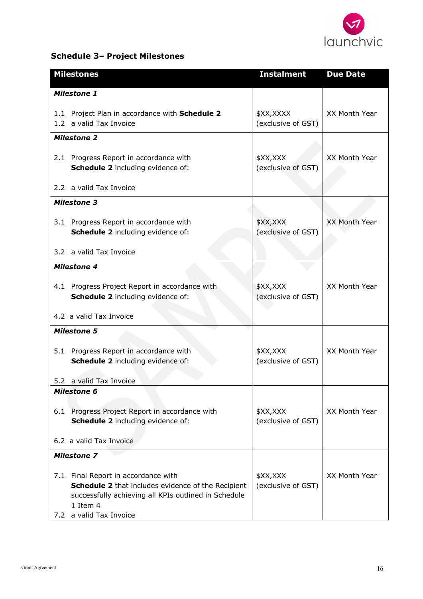

# **Schedule 3– Project Milestones**

|            | <b>Milestones</b>                                                                                                                                                                | <b>Instalment</b>               | <b>Due Date</b>      |
|------------|----------------------------------------------------------------------------------------------------------------------------------------------------------------------------------|---------------------------------|----------------------|
|            | <b>Milestone 1</b>                                                                                                                                                               |                                 |                      |
|            | 1.1 Project Plan in accordance with Schedule 2<br>1.2 a valid Tax Invoice                                                                                                        | \$XX,XXXX<br>(exclusive of GST) | XX Month Year        |
|            | <b>Milestone 2</b>                                                                                                                                                               |                                 |                      |
|            | 2.1 Progress Report in accordance with<br>Schedule 2 including evidence of:                                                                                                      | \$XX, XXX<br>(exclusive of GST) | XX Month Year        |
|            | 2.2 a valid Tax Invoice                                                                                                                                                          |                                 |                      |
|            | <b>Milestone 3</b>                                                                                                                                                               |                                 |                      |
|            | 3.1 Progress Report in accordance with<br>Schedule 2 including evidence of:                                                                                                      | \$XX,XXX<br>(exclusive of GST)  | <b>XX Month Year</b> |
|            | 3.2 a valid Tax Invoice                                                                                                                                                          |                                 |                      |
|            | <b>Milestone 4</b>                                                                                                                                                               |                                 |                      |
|            | 4.1 Progress Project Report in accordance with<br>Schedule 2 including evidence of:                                                                                              | \$XX, XXX<br>(exclusive of GST) | XX Month Year        |
|            | 4.2 a valid Tax Invoice                                                                                                                                                          |                                 |                      |
|            | <b>Milestone 5</b>                                                                                                                                                               |                                 |                      |
|            | 5.1 Progress Report in accordance with<br><b>Schedule 2</b> including evidence of:                                                                                               | \$XX,XXX<br>(exclusive of GST)  | XX Month Year        |
|            | 5.2 a valid Tax Invoice                                                                                                                                                          |                                 |                      |
|            | <b>Milestone 6</b>                                                                                                                                                               |                                 |                      |
| 6.1        | Progress Project Report in accordance with<br>Schedule 2 including evidence of:                                                                                                  | \$XX, XXX<br>(exclusive of GST) | XX Month Year        |
|            | 6.2 a valid Tax Invoice                                                                                                                                                          |                                 |                      |
|            | <b>Milestone 7</b>                                                                                                                                                               |                                 |                      |
| 7.1<br>7.2 | Final Report in accordance with<br>Schedule 2 that includes evidence of the Recipient<br>successfully achieving all KPIs outlined in Schedule<br>1 Item 4<br>a valid Tax Invoice | \$XX,XXX<br>(exclusive of GST)  | XX Month Year        |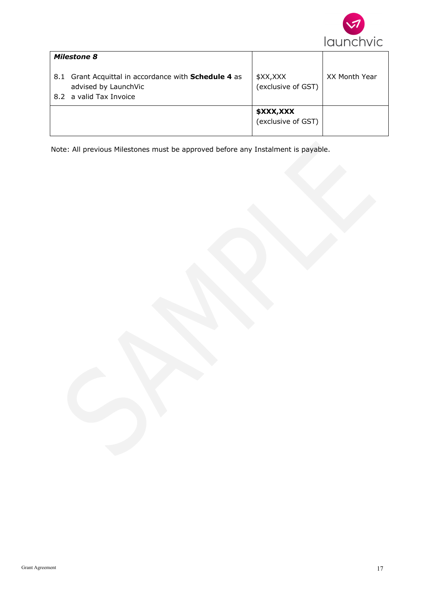

|     | <b>Milestone 8</b>                                                              |                                 |               |
|-----|---------------------------------------------------------------------------------|---------------------------------|---------------|
| 8.1 | Grant Acquittal in accordance with <b>Schedule 4</b> as<br>advised by LaunchVic | \$XX,XXX<br>(exclusive of GST)  | XX Month Year |
|     | 8.2 a valid Tax Invoice                                                         |                                 |               |
|     |                                                                                 | \$XXX,XXX<br>(exclusive of GST) |               |

Note: All previous Milestones must be approved before any Instalment is payable.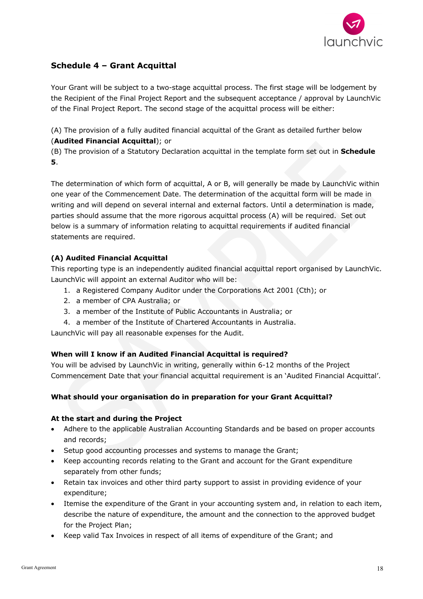

# **Schedule 4 – Grant Acquittal**

Your Grant will be subject to a two-stage acquittal process. The first stage will be lodgement by the Recipient of the Final Project Report and the subsequent acceptance / approval by LaunchVic of the Final Project Report. The second stage of the acquittal process will be either:

(A) The provision of a fully audited financial acquittal of the Grant as detailed further below (**Audited Financial Acquittal**); or

(B) The provision of a Statutory Declaration acquittal in the template form set out in **Schedule 5**.

The determination of which form of acquittal, A or B, will generally be made by LaunchVic within one year of the Commencement Date. The determination of the acquittal form will be made in writing and will depend on several internal and external factors. Until a determination is made, parties should assume that the more rigorous acquittal process (A) will be required. Set out below is a summary of information relating to acquittal requirements if audited financial statements are required.

# **(A) Audited Financial Acquittal**

This reporting type is an independently audited financial acquittal report organised by LaunchVic. LaunchVic will appoint an external Auditor who will be:

- 1. a Registered Company Auditor under the Corporations Act 2001 (Cth); or
- 2. a member of CPA Australia; or
- 3. a member of the Institute of Public Accountants in Australia; or
- 4. a member of the Institute of Chartered Accountants in Australia.

LaunchVic will pay all reasonable expenses for the Audit.

#### **When will I know if an Audited Financial Acquittal is required?**

You will be advised by LaunchVic in writing, generally within 6-12 months of the Project Commencement Date that your financial acquittal requirement is an 'Audited Financial Acquittal'.

# **What should your organisation do in preparation for your Grant Acquittal?**

#### **At the start and during the Project**

- Adhere to the applicable Australian Accounting Standards and be based on proper accounts and records;
- Setup good accounting processes and systems to manage the Grant;
- Keep accounting records relating to the Grant and account for the Grant expenditure separately from other funds;
- Retain tax invoices and other third party support to assist in providing evidence of your expenditure;
- Itemise the expenditure of the Grant in your accounting system and, in relation to each item, describe the nature of expenditure, the amount and the connection to the approved budget for the Project Plan;
- Keep valid Tax Invoices in respect of all items of expenditure of the Grant; and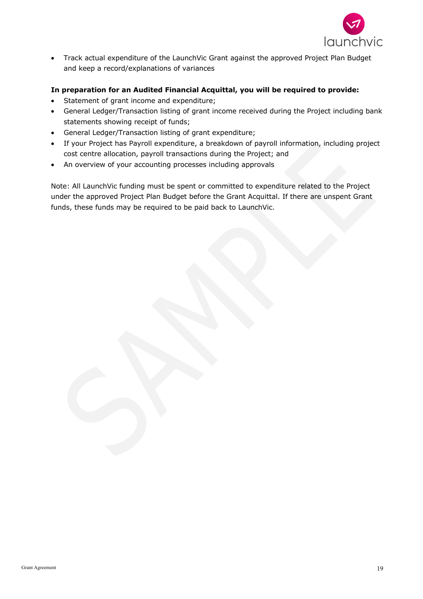

• Track actual expenditure of the LaunchVic Grant against the approved Project Plan Budget and keep a record/explanations of variances

# **In preparation for an Audited Financial Acquittal, you will be required to provide:**

- Statement of grant income and expenditure;
- General Ledger/Transaction listing of grant income received during the Project including bank statements showing receipt of funds;
- General Ledger/Transaction listing of grant expenditure;
- If your Project has Payroll expenditure, a breakdown of payroll information, including project cost centre allocation, payroll transactions during the Project; and
- An overview of your accounting processes including approvals

Note: All LaunchVic funding must be spent or committed to expenditure related to the Project under the approved Project Plan Budget before the Grant Acquittal. If there are unspent Grant funds, these funds may be required to be paid back to LaunchVic.